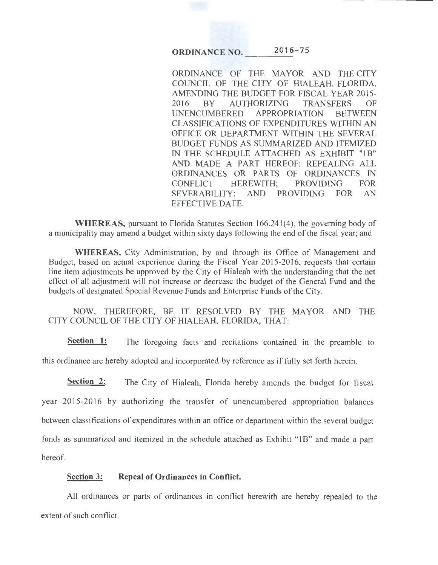**ORDINANCE NO.** 2016-75

ORDINANCE OF THE MAYOR AND THE CITY COUNCIL OF THE CITY OF HIALEAH, FLORIDA, AMENDING THE BUDGET FOR FISCAL YEAR 2015- 2016 BY AUTHORIZING TRANSFERS OF UNENCUMBERED APPROPRIATION BETWEEN CLASSIFICATIONS OF EXPENDITURES WITHIN AN OFFICE OR DEPARTMENT WITHIN THE SEVERAL BUDGET FUNDS AS SUMMARIZED AND ITEMIZED IN THE SCHEDULE ATTACHED AS EXHIBIT "1B" AND MADE A PART HEREOF; REPEALING ALL ORDINANCES OR PARTS OF ORDINANCES IN CONFLICT HEREWITH; PROVIDING FOR SEVERABILITY; AND PROVIDING FOR AN EFFECTIVE DATE.

**WHEREAS,** pursuant to Florida Statutes Section 166.241(4), the governing body of a municipality may amend a budget within sixty days following the end of the fiscal year; and

**WHEREAS,** City Administration, by and through its Office of Management and Budget, based on actual experience during the Fiscal Year 2015-2016, requests that certain line item adjustments be approved by the City of Hialeah with the understanding that the net effect of all adjustment will not increase or decrease the budget of the General Fund and the budgets of designated Special Revenue Funds and Enterprise Funds of the City.

NOW, THEREFORE, BE IT RESOLVED BY THE MAYOR AND THE CITY COUNCIL OF THE CITY OF HIALEAH, FLORIDA, THAT:

**Section 1:** The foregoing facts and recitations contained in the preamble to this ordinance are hereby adopted and incorporated by reference as if fully set forth herein.

**Section 2:** The City of Hialeah, Florida hereby amends the budget for fiscal year 2015-2016 by authorizing the transfer of unencumbered appropriation balances between classifications of expenditures within an office or department within the several budget funds as summarized and itemized in the schedule attached as Exhibit "lB" and made a part hereof.

## **Section 3: Repeal of Ordinances in Conflict.**

All ordinances or parts of ordinances in conflict herewith are hereby repealed to the extent of such conflict.